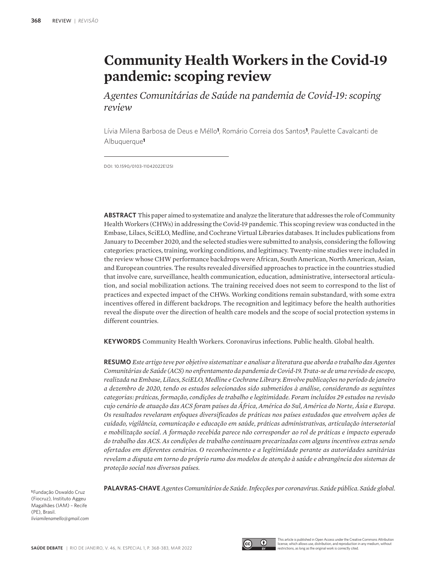# **Community Health Workers in the Covid-19 pandemic: scoping review**

*Agentes Comunitárias de Saúde na pandemia de Covid-19: scoping review*

Lívia Milena Barbosa de Deus e Méllo**1**, Romário Correia dos Santos**1**, Paulette Cavalcanti de Albuquerque**<sup>1</sup>**

DOI: 10.1590/0103-11042022E125I

**ABSTRACT** This paper aimed to systematize and analyze the literature that addresses the role of Community Health Workers (CHWs) in addressing the Covid-19 pandemic. This scoping review was conducted in the Embase, Lilacs, SciELO, Medline, and Cochrane Virtual Libraries databases. It includes publications from January to December 2020, and the selected studies were submitted to analysis, considering the following categories: practices, training, working conditions, and legitimacy. Twenty-nine studies were included in the review whose CHW performance backdrops were African, South American, North American, Asian, and European countries. The results revealed diversified approaches to practice in the countries studied that involve care, surveillance, health communication, education, administrative, intersectoral articulation, and social mobilization actions. The training received does not seem to correspond to the list of practices and expected impact of the CHWs. Working conditions remain substandard, with some extra incentives offered in different backdrops. The recognition and legitimacy before the health authorities reveal the dispute over the direction of health care models and the scope of social protection systems in different countries.

**KEYWORDS** Community Health Workers. Coronavirus infections. Public health. Global health.

**RESUMO** *Este artigo teve por objetivo sistematizar e analisar a literatura que aborda o trabalho das Agentes Comunitárias de Saúde (ACS) no enfrentamento da pandemia de Covid-19. Trata-se de uma revisão de escopo, realizada na Embase, Lilacs, SciELO, Medline e Cochrane Library. Envolve publicações no período de janeiro a dezembro de 2020, tendo os estudos selecionados sido submetidos à análise, considerando as seguintes categorias: práticas, formação, condições de trabalho e legitimidade. Foram incluídos 29 estudos na revisão cujo cenário de atuação das ACS foram países da África, América do Sul, América do Norte, Ásia e Europa. Os resultados revelaram enfoques diversificados de práticas nos países estudados que envolvem ações de cuidado, vigilância, comunicação e educação em saúde, práticas administrativas, articulação intersetorial e mobilização social. A formação recebida parece não corresponder ao rol de práticas e impacto esperado do trabalho das ACS. As condições de trabalho continuam precarizadas com alguns incentivos extras sendo ofertados em diferentes cenários. O reconhecimento e a legitimidade perante as autoridades sanitárias revelam a disputa em torno do próprio rumo dos modelos de atenção à saúde e abrangência dos sistemas de proteção social nos diversos países.*

**PALAVRAS-CHAVE** *Agentes Comunitários de Saúde. Infecções por coronavírus. Saúde pública. Saúde global.*

**<sup>1</sup>**Fundação Oswaldo Cruz (Fiocruz), Instituto Aggeu Magalhães (IAM) – Recife (PE), Brasil. *liviamilenamello@gmail.com*



This article is published in Open Access under the Creative Commons Attribution license, which allows use, distribution, and reproduction in any medium, without restrictions, as long as the original work is correctly cited.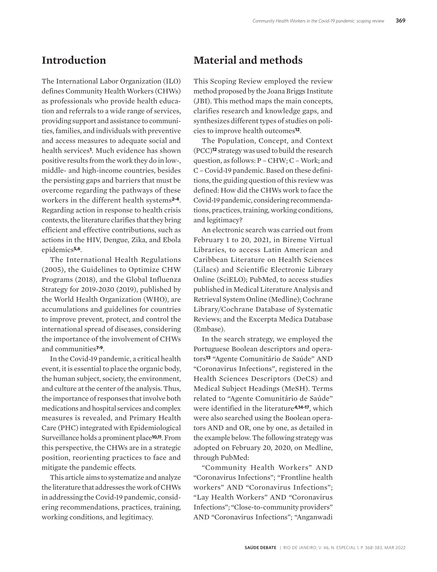#### **Introduction**

The International Labor Organization (ILO) defines Community Health Workers (CHWs) as professionals who provide health education and referrals to a wide range of services, providing support and assistance to communities, families, and individuals with preventive and access measures to adequate social and health services**1**. Much evidence has shown positive results from the work they do in low-, middle- and high-income countries, besides the persisting gaps and barriers that must be overcome regarding the pathways of these workers in the different health systems**2-4**. Regarding action in response to health crisis contexts, the literature clarifies that they bring efficient and effective contributions, such as actions in the HIV, Dengue, Zika, and Ebola epidemics**5,6**.

The International Health Regulations (2005), the Guidelines to Optimize CHW Programs (2018), and the Global Influenza Strategy for 2019-2030 (2019), published by the World Health Organization (WHO), are accumulations and guidelines for countries to improve prevent, protect, and control the international spread of diseases, considering the importance of the involvement of CHWs and communities**7-9**.

In the Covid-19 pandemic, a critical health event, it is essential to place the organic body, the human subject, society, the environment, and culture at the center of the analysis. Thus, the importance of responses that involve both medications and hospital services and complex measures is revealed, and Primary Health Care (PHC) integrated with Epidemiological Surveillance holds a prominent place**10,11**. From this perspective, the CHWs are in a strategic position, reorienting practices to face and mitigate the pandemic effects.

This article aims to systematize and analyze the literature that addresses the work of CHWs in addressing the Covid-19 pandemic, considering recommendations, practices, training, working conditions, and legitimacy.

#### **Material and methods**

This Scoping Review employed the review method proposed by the Joana Briggs Institute (JBI). This method maps the main concepts, clarifies research and knowledge gaps, and synthesizes different types of studies on policies to improve health outcomes**12**.

The Population, Concept, and Context (PCC)**12** strategy was used to build the research question, as follows: P – CHW; C – Work; and C – Covid-19 pandemic. Based on these definitions, the guiding question of this review was defined: How did the CHWs work to face the Covid-19 pandemic, considering recommendations, practices, training, working conditions, and legitimacy?

An electronic search was carried out from February 1 to 20, 2021, in Bireme Virtual Libraries, to access Latin American and Caribbean Literature on Health Sciences (Lilacs) and Scientific Electronic Library Online (SciELO); PubMed, to access studies published in Medical Literature Analysis and Retrieval System Online (Medline); Cochrane Library/Cochrane Database of Systematic Reviews; and the Excerpta Medica Database (Embase).

In the search strategy, we employed the Portuguese Boolean descriptors and operators**13** "Agente Comunitário de Saúde" AND "Coronavirus Infections", registered in the Health Sciences Descriptors (DeCS) and Medical Subject Headings (MeSH). Terms related to "Agente Comunitário de Saúde" were identified in the literature**4,14-17**, which were also searched using the Boolean operators AND and OR, one by one, as detailed in the example below. The following strategy was adopted on February 20, 2020, on Medline, through PubMed:

"Community Health Workers" AND "Coronavirus Infections"; "Frontline health workers" AND "Coronavirus Infections"; "Lay Health Workers" AND "Coronavirus Infections"; "Close-to-community providers" AND "Coronavirus Infections"; "Anganwadi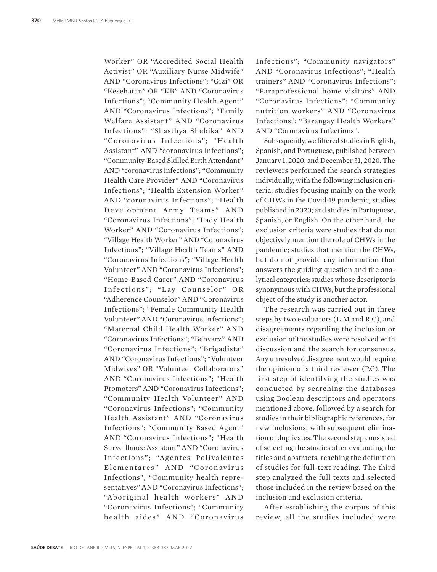Worker" OR "Accredited Social Health Activist" OR "Auxiliary Nurse Midwife" AND "Coronavirus Infections"; "Gizi" OR "Kesehatan" OR "KB" AND "Coronavirus Infections"; "Community Health Agent" AND "Coronavirus Infections"; "Family Welfare Assistant" AND "Coronavirus Infections"; "Shasthya Shebika" AND "Coronavirus Infections"; "Health Assistant" AND "coronavirus infections"; "Community-Based Skilled Birth Attendant" AND "coronavirus infections"; "Community Health Care Provider" AND "Coronavirus Infections"; "Health Extension Worker" AND "coronavirus Infections"; "Health Development Army Teams" AND "Coronavirus Infections"; "Lady Health Worker" AND "Coronavirus Infections"; "Village Health Worker" AND "Coronavirus Infections"; "Village Health Teams" AND "Coronavirus Infections"; "Village Health Volunteer" AND "Coronavirus Infections"; "Home-Based Carer" AND "Coronavirus Infections"; "Lay Counselor" OR "Adherence Counselor" AND "Coronavirus Infections"; "Female Community Health Volunteer" AND "Coronavirus Infections"; "Maternal Child Health Worker" AND "Coronavirus Infections"; "Behvarz" AND "Coronavirus Infections"; "Brigadista" AND "Coronavirus Infections"; "Volunteer Midwives" OR "Volunteer Collaborators" AND "Coronavirus Infections"; "Health Promoters" AND "Coronavirus Infections"; "Community Health Volunteer" AND "Coronavirus Infections"; "Community Health Assistant" AND "Coronavirus Infections"; "Community Based Agent" AND "Coronavirus Infections"; "Health Surveillance Assistant" AND "Coronavirus Infections"; "Agentes Polivalentes Elementares" AND "Coronavirus Infections"; "Community health representatives" AND "Coronavirus Infections"; "Aboriginal health workers" AND "Coronavirus Infections"; "Community health aides" AND "Coronavirus

Infections"; "Community navigators" AND "Coronavirus Infections"; "Health trainers" AND "Coronavirus Infections"; "Paraprofessional home visitors" AND "Coronavirus Infections"; "Community nutrition workers" AND "Coronavirus Infections"; "Barangay Health Workers" AND "Coronavirus Infections".

Subsequently, we filtered studies in English. Spanish, and Portuguese, published between January 1, 2020, and December 31, 2020. The reviewers performed the search strategies individually, with the following inclusion criteria: studies focusing mainly on the work of CHWs in the Covid-19 pandemic; studies published in 2020; and studies in Portuguese, Spanish, or English. On the other hand, the exclusion criteria were studies that do not objectively mention the role of CHWs in the pandemic; studies that mention the CHWs, but do not provide any information that answers the guiding question and the analytical categories; studies whose descriptor is synonymous with CHWs, but the professional object of the study is another actor.

The research was carried out in three steps by two evaluators (L.M and R.C), and disagreements regarding the inclusion or exclusion of the studies were resolved with discussion and the search for consensus. Any unresolved disagreement would require the opinion of a third reviewer (P.C). The first step of identifying the studies was conducted by searching the databases using Boolean descriptors and operators mentioned above, followed by a search for studies in their bibliographic references, for new inclusions, with subsequent elimination of duplicates. The second step consisted of selecting the studies after evaluating the titles and abstracts, reaching the definition of studies for full-text reading. The third step analyzed the full texts and selected those included in the review based on the inclusion and exclusion criteria.

After establishing the corpus of this review, all the studies included were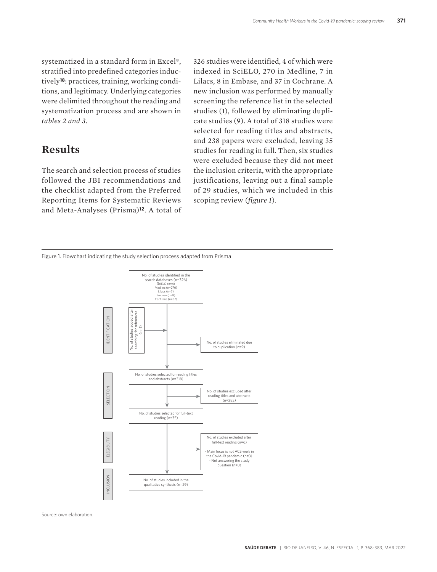systematized in a standard form in Excel®, stratified into predefined categories inductively**18**: practices, training, working conditions, and legitimacy. Underlying categories were delimited throughout the reading and systematization process and are shown in *tables 2 and 3*.

#### **Results**

The search and selection process of studies followed the JBI recommendations and the checklist adapted from the Preferred Reporting Items for Systematic Reviews and Meta-Analyses (Prisma)**12**. A total of

326 studies were identified, 4 of which were indexed in SciELO, 270 in Medline, 7 in Lilacs, 8 in Embase, and 37 in Cochrane. A new inclusion was performed by manually screening the reference list in the selected studies (1), followed by eliminating duplicate studies (9). A total of 318 studies were selected for reading titles and abstracts, and 238 papers were excluded, leaving 35 studies for reading in full. Then, six studies were excluded because they did not meet the inclusion criteria, with the appropriate justifications, leaving out a final sample of 29 studies, which we included in this scoping review (*figure 1*).

Figure 1. Flowchart indicating the study selection process adapted from Prisma



Source: own elaboration.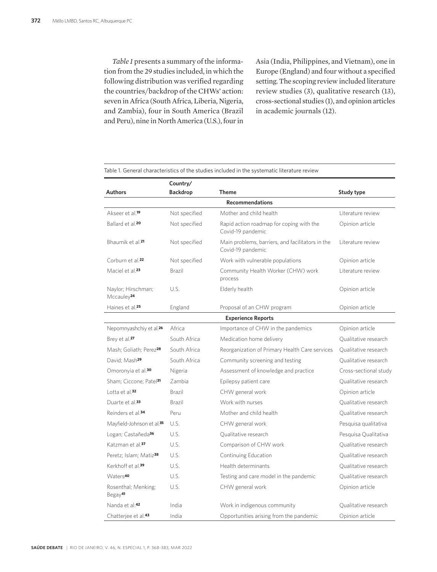*Table 1* presents a summary of the information from the 29 studies included, in which the following distribution was verified regarding the countries/backdrop of the CHWs' action: seven in Africa (South Africa, Liberia, Nigeria, and Zambia), four in South America (Brazil and Peru), nine in North America (U.S.), four in

Asia (India, Philippines, and Vietnam), one in Europe (England) and four without a specified setting. The scoping review included literature review studies (3), qualitative research (13), cross-sectional studies (1), and opinion articles in academic journals (12).

|                                              | Country/        |                                                                       |                       |  |
|----------------------------------------------|-----------------|-----------------------------------------------------------------------|-----------------------|--|
| Authors                                      | <b>Backdrop</b> | <b>Theme</b>                                                          | Study type            |  |
|                                              |                 | <b>Recommendations</b>                                                |                       |  |
| Akseer et al. <sup>19</sup>                  | Not specified   | Mother and child health                                               | Literature review     |  |
| Ballard et al. <sup>20</sup>                 | Not specified   | Rapid action roadmap for coping with the<br>Covid-19 pandemic         | Opinion article       |  |
| Bhaumik et al. <sup>21</sup>                 | Not specified   | Main problems, barriers, and facilitators in the<br>Covid-19 pandemic | Literature review     |  |
| Corburn et al. <sup>22</sup>                 | Not specified   | Work with vulnerable populations                                      | Opinion article       |  |
| Maciel et al. <sup>23</sup>                  | Brazil          | Community Health Worker (CHW) work<br>process                         | Literature review     |  |
| Naylor; Hirschman;<br>Mccauley <sup>24</sup> | U.S.            | Elderly health                                                        | Opinion article       |  |
| Haines et al. <sup>25</sup>                  | England         | Proposal of an CHW program                                            | Opinion article       |  |
| <b>Experience Reports</b>                    |                 |                                                                       |                       |  |
| Nepomnyashchiy et al. <sup>26</sup>          | Africa          | Importance of CHW in the pandemics                                    | Opinion article       |  |
| Brey et al. <sup>27</sup>                    | South Africa    | Medication home delivery                                              | Oualitative research  |  |
| Mash; Goliath; Perez <sup>28</sup>           | South Africa    | Reorganization of Primary Health Care services                        | Oualitative research  |  |
| David: Mash <sup>29</sup>                    | South Africa    | Community screening and testing                                       | Qualitative research  |  |
| Omoronyia et al. <sup>30</sup>               | Nigeria         | Assessment of knowledge and practice                                  | Cross-sectional study |  |
| Sham; Ciccone; Patel <sup>31</sup>           | Zambia          | Epilepsy patient care                                                 | Oualitative research  |  |
| Lotta et al. $32$                            | Brazil          | CHW general work                                                      | Opinion article       |  |
| Duarte et al. <sup>33</sup>                  | <b>Brazil</b>   | Work with nurses                                                      | Oualitative research  |  |
| Reinders et al. <sup>34</sup>                | Peru            | Mother and child health                                               | Qualitative research  |  |
| Mayfield-Johnson et al. <sup>35</sup>        | U.S.            | CHW general work                                                      | Pesquisa qualitativa  |  |
| Logan; Castañeda <sup>36</sup>               | U.S.            | Qualitative research                                                  | Pesquisa Qualitativa  |  |
| Katzman et al. <sup>37</sup>                 | U.S.            | Comparison of CHW work                                                | Oualitative research  |  |
| Peretz; Islam; Matiz <sup>38</sup>           | U.S.            | Continuing Education                                                  | Oualitative research  |  |
| Kerkhoff et al. <sup>39</sup>                | U.S.            | Health determinants                                                   | Qualitative research  |  |
| Waters <sup>40</sup>                         | U.S.            | Testing and care model in the pandemic                                | Qualitative research  |  |
| Rosenthal; Menking;<br>Begay <sup>41</sup>   | U.S.            | CHW general work                                                      | Opinion article       |  |
| Nanda et al. <sup>42</sup>                   | India           | Work in indigenous community                                          | Qualitative research  |  |
| Chatterjee et al. <sup>43</sup>              | India           | Opportunities arising from the pandemic                               | Opinion article       |  |

Table 1. General characteristics of the studies included in the systematic literature review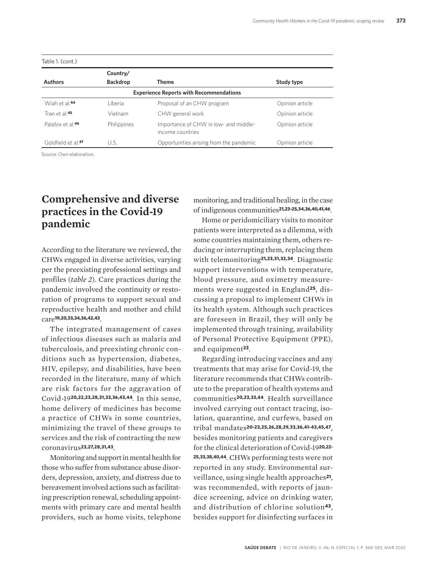|                                | Country/        |                                                           |                 |
|--------------------------------|-----------------|-----------------------------------------------------------|-----------------|
| <b>Authors</b>                 | <b>Backdrop</b> | <b>Theme</b>                                              | Study type      |
|                                |                 | <b>Experience Reports with Recommendations</b>            |                 |
| Wiah et al. <sup>44</sup>      | l iberia.       | Proposal of an CHW program                                | Opinion article |
| Tran et al. <sup>45</sup>      | Vietnam         | CHW general work                                          | Opinion article |
| Palafox et al 46               | Philippines     | Importance of CHW in low- and middle-<br>income countries | Opinion article |
| Goldfield et al. <sup>47</sup> | U.S.            | Opportunities arising from the pandemic                   | Opinion article |

Source: Own elaboration.

## **Comprehensive and diverse practices in the Covid-19 pandemic**

According to the literature we reviewed, the CHWs engaged in diverse activities, varying per the preexisting professional settings and profiles (*table 2*). Care practices during the pandemic involved the continuity or restoration of programs to support sexual and reproductive health and mother and child care**19,20,33,34,36,42,43**.

The integrated management of cases of infectious diseases such as malaria and tuberculosis, and preexisting chronic conditions such as hypertension, diabetes, HIV, epilepsy, and disabilities, have been recorded in the literature, many of which are risk factors for the aggravation of Covid-19**20,22,23,28,31,33,36,43,44**. In this sense, home delivery of medicines has become a practice of CHWs in some countries, minimizing the travel of these groups to services and the risk of contracting the new coronavirus**23,27,28,31,43**.

Monitoring and support in mental health for those who suffer from substance abuse disorders, depression, anxiety, and distress due to bereavement involved actions such as facilitating prescription renewal, scheduling appointments with primary care and mental health providers, such as home visits, telephone monitoring, and traditional healing, in the case of indigenous communities**21,23-25,34,36,40,41,46**.

Home or peridomiciliary visits to monitor patients were interpreted as a dilemma, with some countries maintaining them, others reducing or interrupting them, replacing them with telemonitoring**21,23,31,32,34**. Diagnostic support interventions with temperature, blood pressure, and oximetry measurements were suggested in England**25**, discussing a proposal to implement CHWs in its health system. Although such practices are foreseen in Brazil, they will only be implemented through training, availability of Personal Protective Equipment (PPE), and equipment**23**.

Regarding introducing vaccines and any treatments that may arise for Covid-19, the literature recommends that CHWs contribute to the preparation of health systems and communities**20,23,33,44**. Health surveillance involved carrying out contact tracing, isolation, quarantine, and curfews, based on tribal mandates**20-23,25,26,28,29,33,36,41-43,45,47**, besides monitoring patients and caregivers for the clinical deterioration of Covid-19**20,22- 25,33,38,40,44**. CHWs performing tests were not reported in any study. Environmental surveillance, using single health approaches**21**, was recommended, with reports of jaundice screening, advice on drinking water, and distribution of chlorine solution**43**, besides support for disinfecting surfaces in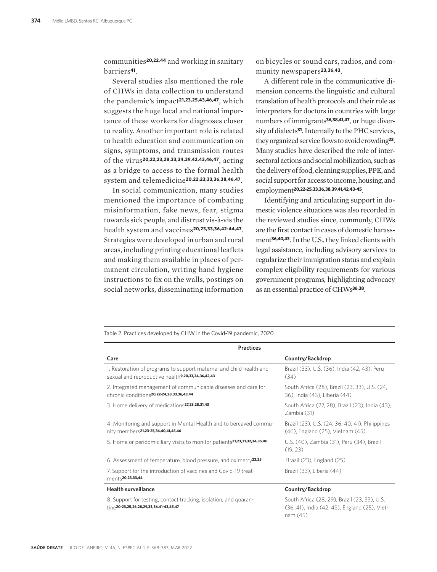communities**20,22,44** and working in sanitary barriers**41**.

Several studies also mentioned the role of CHWs in data collection to understand the pandemic's impact**21,23,25,43,46,47**, which suggests the huge local and national importance of these workers for diagnoses closer to reality. Another important role is related to health education and communication on signs, symptoms, and transmission routes of the virus**20,22,23,28,33,34,39,42,43,46,47**, acting as a bridge to access to the formal health system and telemedicine**20,22,23,33,36,38,46,47**.

In social communication, many studies mentioned the importance of combating misinformation, fake news, fear, stigma towards sick people, and distrust vis-à-vis the health system and vaccines**20,23,33,36,42-44,47**. Strategies were developed in urban and rural areas, including printing educational leaflets and making them available in places of permanent circulation, writing hand hygiene instructions to fix on the walls, postings on social networks, disseminating information

on bicycles or sound cars, radios, and community newspapers**23,36,43**.

A different role in the communicative dimension concerns the linguistic and cultural translation of health protocols and their role as interpreters for doctors in countries with large numbers of immigrants**36,38,41,47**, or huge diversity of dialects**31**. Internally to the PHC services, they organized service flows to avoid crowding**23**. Many studies have described the role of intersectoral actions and social mobilization, such as the delivery of food, cleaning supplies, PPE, and social support for access to income, housing, and employment**20,22-25,33,36,38,39,41,42,43-45**.

Identifying and articulating support in domestic violence situations was also recorded in the reviewed studies since, commonly, CHWs are the first contact in cases of domestic harassment**36,40,43**. In the U.S., they linked clients with legal assistance, including advisory services to regularize their immigration status and explain complex eligibility requirements for various government programs, highlighting advocacy as an essential practice of CHWs**36,38**.

Table 2. Practices developed by CHW in the Covid-19 pandemic, 2020

| <b>Practices</b>                                                                                                                     |                                                                                                          |  |
|--------------------------------------------------------------------------------------------------------------------------------------|----------------------------------------------------------------------------------------------------------|--|
| Care                                                                                                                                 | Country/Backdrop                                                                                         |  |
| 1. Restoration of programs to support maternal and child health and<br>sexual and reproductive health <sup>9,20,33,34,36,42,43</sup> | Brazil (33), U.S. (36), India (42, 43), Peru<br>(34)                                                     |  |
| 2. Integrated management of communicable diseases and care for<br>chronic conditions <sup>20,22-24,28,33,36,43,44</sup>              | South Africa (28), Brazil (23, 33), U.S. (24,<br>36), India (43), Liberia (44)                           |  |
| 3. Home delivery of medications <sup>27,23,28,31,43</sup>                                                                            | South Africa (27, 28), Brazil (23), India (43),<br>Zambia (31)                                           |  |
| 4. Monitoring and support in Mental Health and to bereaved commu-<br>nity members <sup>21,23-25,36,40,41,45,46</sup>                 | Brazil (23), U.S. (24, 36, 40, 41), Philippines<br>(46), England (25), Vietnam (45)                      |  |
| 5. Home or peridomiciliary visits to monitor patients <sup>21,23,31,32,34,35,40</sup>                                                | U.S. (40), Zambia (31), Peru (34), Brazil<br>(19, 23)                                                    |  |
| 6. Assessment of temperature, blood pressure, and oximetry <sup>23,25</sup>                                                          | Brazil (23), England (25)                                                                                |  |
| 7. Support for the introduction of vaccines and Covid-19 treat-<br>ments20,23,33,44                                                  | Brazil (33), Liberia (44)                                                                                |  |
| <b>Health surveillance</b>                                                                                                           | Country/Backdrop                                                                                         |  |
| 8. Support for testing, contact tracking, isolation, and quaran-<br>$\uparrow$ ine <sup>20-23,25,26,28,29,33,36,41-43,45,47</sup>    | South Africa (28, 29), Brazil (23, 33), U.S.<br>(36, 41), India (42, 43), England (25), Viet-<br>nam(45) |  |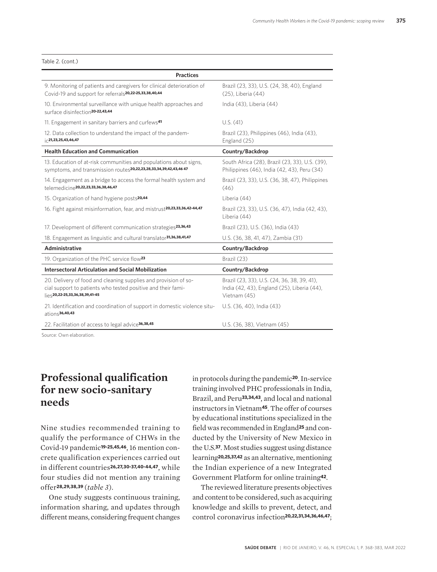#### Table 2. (cont.)

| <b>Practices</b>                                                                                                                                                                                        |                                                                                                            |
|---------------------------------------------------------------------------------------------------------------------------------------------------------------------------------------------------------|------------------------------------------------------------------------------------------------------------|
| 9. Monitoring of patients and caregivers for clinical deterioration of<br>Covid-19 and support for referrals20,22-25,33,38,40,44                                                                        | Brazil (23, 33), U.S. (24, 38, 40), England<br>(25), Liberia (44)                                          |
| 10. Environmental surveillance with unique health approaches and<br>surface disinfection <sup>20-22,43,44</sup>                                                                                         | India (43), Liberia (44)                                                                                   |
| 11. Engagement in sanitary barriers and curfews <sup>41</sup>                                                                                                                                           | U.S. (41)                                                                                                  |
| 12. Data collection to understand the impact of the pandem-<br>$i \in 21, 23, 25, 43, 46, 47$                                                                                                           | Brazil (23), Philippines (46), India (43),<br>England (25)                                                 |
| <b>Health Education and Communication</b>                                                                                                                                                               | Country/Backdrop                                                                                           |
| 13. Education of at-risk communities and populations about signs,<br>symptoms, and transmission routes20,22,23,28,33,34,39,42,43,46 47                                                                  | South Africa (28), Brazil (23, 33), U.S. (39),<br>Philippines (46), India (42, 43), Peru (34)              |
| 14. Engagement as a bridge to access the formal health system and<br>telemedicine20,22,23,33,36,38,46,47                                                                                                | Brazil (23, 33), U.S. (36, 38, 47), Philippines<br>(46)                                                    |
| 15. Organization of hand hygiene posts <sup>20,44</sup>                                                                                                                                                 | Liberia (44)                                                                                               |
| 16. Fight against misinformation, fear, and mistrust <sup>20,23,33,36,42-44,47</sup>                                                                                                                    | Brazil (23, 33), U.S. (36, 47), India (42, 43),<br>Liberia (44)                                            |
| 17. Development of different communication strategies <sup>23,36,43</sup>                                                                                                                               | Brazil (23), U.S. (36), India (43)                                                                         |
| 18. Engagement as linguistic and cultural translator <sup>31,36,38,41,47</sup>                                                                                                                          | U.S. (36, 38, 41, 47), Zambia (31)                                                                         |
| Administrative                                                                                                                                                                                          | Country/Backdrop                                                                                           |
| 19. Organization of the PHC service flow <sup>23</sup>                                                                                                                                                  | Brazil (23)                                                                                                |
| <b>Intersectoral Articulation and Social Mobilization</b>                                                                                                                                               | Country/Backdrop                                                                                           |
| 20. Delivery of food and cleaning supplies and provision of so-<br>cial support to patients who tested positive and their fami-<br>$\left  \right _{\left  \ominus \ominus}$ 20,22-25,33,36,38,39,41-45 | Brazil (23, 33), U.S. (24, 36, 38, 39, 41),<br>India (42, 43), England (25), Liberia (44),<br>Vietnam (45) |
| 21. Identification and coordination of support in domestic violence situ-<br>$\frac{\text{ations}}{\text{36,40,43}}$                                                                                    | U.S. (36, 40), India (43)                                                                                  |
| 22. Facilitation of access to legal advice <sup>36,38,45</sup>                                                                                                                                          | U.S. (36, 38), Vietnam (45)                                                                                |

ource: Own elaboration

### **Professional qualification for new socio-sanitary needs**

Nine studies recommended training to qualify the performance of CHWs in the Covid-19 pandemic**19-25,45,46**, 16 mention concrete qualification experiences carried out in different countries**26,27,30-37,40-44,47**, while four studies did not mention any training offer**28,29,38,39** (*table 3*).

One study suggests continuous training, information sharing, and updates through different means, considering frequent changes in protocols during the pandemic**20**. In-service training involved PHC professionals in India, Brazil, and Peru**33,34,43**, and local and national instructors in Vietnam**45**. The offer of courses by educational institutions specialized in the field was recommended in England**25** and conducted by the University of New Mexico in the U.S.**37**. Most studies suggest using distance learning**20,25,37,42** as an alternative, mentioning the Indian experience of a new Integrated Government Platform for online training**42**.

The reviewed literature presents objectives and content to be considered, such as acquiring knowledge and skills to prevent, detect, and control coronavirus infection**20,22,31,34,36,46,47**;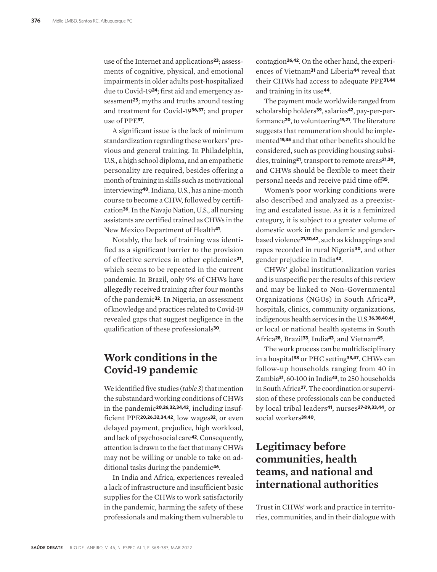use of the Internet and applications**23**; assessments of cognitive, physical, and emotional impairments in older adults post-hospitalized due to Covid-19**24**; first aid and emergency assessment**25**; myths and truths around testing and treatment for Covid-19**36,37**; and proper use of PPE**37**.

A significant issue is the lack of minimum standardization regarding these workers' previous and general training. In Philadelphia, U.S., a high school diploma, and an empathetic personality are required, besides offering a month of training in skills such as motivational interviewing**40**. Indiana, U.S., has a nine-month course to become a CHW, followed by certification**36**. In the Navajo Nation, U.S., all nursing assistants are certified trained as CHWs in the New Mexico Department of Health**41**.

Notably, the lack of training was identified as a significant barrier to the provision of effective services in other epidemics**21**, which seems to be repeated in the current pandemic. In Brazil, only 9% of CHWs have allegedly received training after four months of the pandemic**32**. In Nigeria, an assessment of knowledge and practices related to Covid-19 revealed gaps that suggest negligence in the qualification of these professionals**30**.

#### **Work conditions in the Covid-19 pandemic**

We identified five studies (*table 3*) that mention the substandard working conditions of CHWs in the pandemic**20,26,32,34,42**, including insufficient PPE**20,26,32,34,42**, low wages**32**, or even delayed payment, prejudice, high workload, and lack of psychosocial care**42**. Consequently, attention is drawn to the fact that many CHWs may not be willing or unable to take on additional tasks during the pandemic**46**.

In India and Africa, experiences revealed a lack of infrastructure and insufficient basic supplies for the CHWs to work satisfactorily in the pandemic, harming the safety of these professionals and making them vulnerable to contagion**26,42**. On the other hand, the experiences of Vietnam**31** and Liberia**44** reveal that their CHWs had access to adequate PPE**31,44** and training in its use**44**.

The payment mode worldwide ranged from scholarship holders**39**, salaries**42**, pay-per-performance**20**, to volunteering**19,21**. The literature suggests that remuneration should be implemented**19,35** and that other benefits should be considered, such as providing housing subsidies, training**21**, transport to remote areas**21,30**, and CHWs should be flexible to meet their personal needs and receive paid time off**35**.

Women's poor working conditions were also described and analyzed as a preexisting and escalated issue. As it is a feminized category, it is subject to a greater volume of domestic work in the pandemic and genderbased violence**21,30,42**, such as kidnappings and rapes recorded in rural Nigeria**30**, and other gender prejudice in India**42**.

CHWs' global institutionalization varies and is unspecific per the results of this review and may be linked to Non-Governmental Organizations (NGOs) in South Africa**29**, hospitals, clinics, community organizations, indigenous health services in the U.S.**36,38,40,41**, or local or national health systems in South Africa**28**, Brazil**33**, India**43**, and Vietnam**45**.

The work process can be multidisciplinary in a hospital**38** or PHC setting**33,47**. CHWs can follow-up households ranging from 40 in Zambia**31**, 60-100 in India**43**, to 250 households in South Africa**27**. The coordination or supervision of these professionals can be conducted by local tribal leaders**41**, nurses**27-29,33,44**, or social workers**39,40**.

### **Legitimacy before communities, health teams, and national and international authorities**

Trust in CHWs' work and practice in territories, communities, and in their dialogue with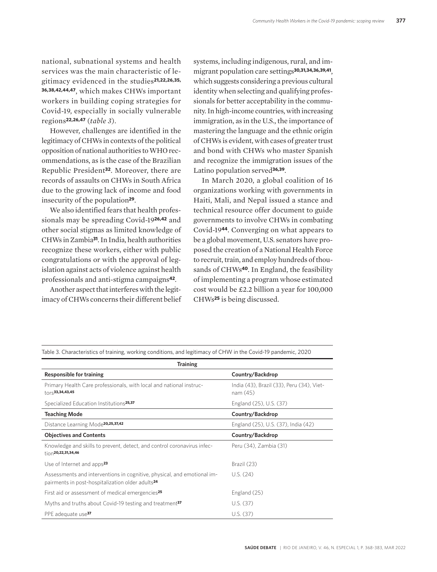national, subnational systems and health services was the main characteristic of legitimacy evidenced in the studies**21,22,26,35, 36,38,42,44,47**, which makes CHWs important workers in building coping strategies for Covid-19, especially in socially vulnerable regions**22,26,47** (*table 3*).

However, challenges are identified in the legitimacy of CHWs in contexts of the political opposition of national authorities to WHO recommendations, as is the case of the Brazilian Republic President**32**. Moreover, there are records of assaults on CHWs in South Africa due to the growing lack of income and food insecurity of the population**29**.

We also identified fears that health professionals may be spreading Covid-19**26,42** and other social stigmas as limited knowledge of CHWs in Zambia**31**. In India, health authorities recognize these workers, either with public congratulations or with the approval of legislation against acts of violence against health professionals and anti-stigma campaigns**42**.

Another aspect that interferes with the legitimacy of CHWs concerns their different belief systems, including indigenous, rural, and immigrant population care settings**30,31,34,36,39,41**, which suggests considering a previous cultural identity when selecting and qualifying professionals for better acceptability in the community. In high-income countries, with increasing immigration, as in the U.S., the importance of mastering the language and the ethnic origin of CHWs is evident, with cases of greater trust and bond with CHWs who master Spanish and recognize the immigration issues of the Latino population served**36,39**.

In March 2020, a global coalition of 16 organizations working with governments in Haiti, Mali, and Nepal issued a stance and technical resource offer document to guide governments to involve CHWs in combating Covid-19**44**. Converging on what appears to be a global movement, U.S. senators have proposed the creation of a National Health Force to recruit, train, and employ hundreds of thousands of CHWs**40**. In England, the feasibility of implementing a program whose estimated cost would be £2.2 billion a year for 100,000 CHWs**25** is being discussed.

| <b>Training</b>                                                                                                                         |                                                       |  |  |
|-----------------------------------------------------------------------------------------------------------------------------------------|-------------------------------------------------------|--|--|
| <b>Responsible for training</b>                                                                                                         | Country/Backdrop                                      |  |  |
| Primary Health Care professionals, with local and national instruc-<br>$\dagger$ ors33,34,43,45                                         | India (43), Brazil (33), Peru (34), Viet-<br>nam (45) |  |  |
| Specialized Education Institutions <sup>25,37</sup>                                                                                     | England (25), U.S. (37)                               |  |  |
| <b>Teaching Mode</b>                                                                                                                    | Country/Backdrop                                      |  |  |
| Distance Learning Mode <sup>20,25,37,42</sup>                                                                                           | England (25), U.S. (37), India (42)                   |  |  |
| <b>Objectives and Contents</b>                                                                                                          | Country/Backdrop                                      |  |  |
| Knowledge and skills to prevent, detect, and control coronavirus infec-<br>$\frac{1}{100}$ 20,22,31,34,46                               | Peru (34), Zambia (31)                                |  |  |
| Use of Internet and apps <sup>23</sup>                                                                                                  | Brazil (23)                                           |  |  |
| Assessments and interventions in cognitive, physical, and emotional im-<br>pairments in post-hospitalization older adults <sup>24</sup> | U.S. (24)                                             |  |  |
| First aid or assessment of medical emergencies <sup>25</sup>                                                                            | England (25)                                          |  |  |
| Myths and truths about Covid-19 testing and treatment <sup>37</sup>                                                                     | U.S. (37)                                             |  |  |
| PPE adequate use <sup>37</sup>                                                                                                          | U.S. (37)                                             |  |  |

Table 3. Characteristics of training, working conditions, and legitimacy of CHW in the Covid-19 pandemic, 2020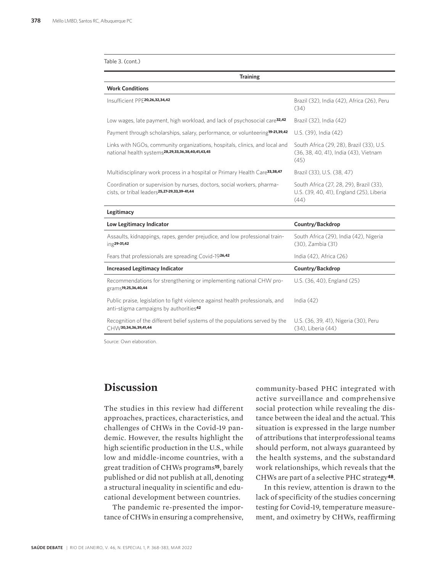| Table 3. (cont.) |  |  |
|------------------|--|--|
|------------------|--|--|

| <b>Training</b>                                                                                                                              |                                                                                             |
|----------------------------------------------------------------------------------------------------------------------------------------------|---------------------------------------------------------------------------------------------|
| <b>Work Conditions</b>                                                                                                                       |                                                                                             |
| Insufficient PPE20,26,32,34,42                                                                                                               | Brazil (32), India (42), Africa (26), Peru<br>(34)                                          |
| Low wages, late payment, high workload, and lack of psychosocial care <sup>32,42</sup>                                                       | Brazil (32), India (42)                                                                     |
| Payment through scholarships, salary, performance, or volunteering <sup>19-21,39,42</sup>                                                    | U.S. (39), India (42)                                                                       |
| Links with NGOs, community organizations, hospitals, clinics, and local and<br>national health systems <sup>28,29,33,36,38,40,41,43,45</sup> | South Africa (29, 28), Brazil (33), U.S.<br>(36, 38, 40, 41), India (43), Vietnam<br>(45)   |
| Multidisciplinary work process in a hospital or Primary Health Care <sup>33,38,47</sup>                                                      | Brazil (33), U.S. (38, 47)                                                                  |
| Coordination or supervision by nurses, doctors, social workers, pharma-<br>cists, or tribal leaders <sup>25,27-29,33,39-41,44</sup>          | South Africa (27, 28, 29), Brazil (33),<br>U.S. (39, 40, 41), England (25), Liberia<br>(44) |
| Legitimacy                                                                                                                                   |                                                                                             |
| Low Legitimacy Indicator                                                                                                                     | Country/Backdrop                                                                            |
| Assaults, kidnappings, rapes, gender prejudice, and low professional train-<br>$ing29-31,42$                                                 | South Africa (29), India (42), Nigeria<br>(30), Zambia (31)                                 |
| Fears that professionals are spreading Covid-1926,42                                                                                         | India (42), Africa (26)                                                                     |
| <b>Increased Legitimacy Indicator</b>                                                                                                        | Country/Backdrop                                                                            |
| Recommendations for strengthening or implementing national CHW pro-<br>grams <sup>19,25,36,40,44</sup>                                       | U.S. (36, 40), England (25)                                                                 |
| Public praise, legislation to fight violence against health professionals, and<br>anti-stigma campaigns by authorities <sup>42</sup>         | India $(42)$                                                                                |
| Recognition of the different belief systems of the populations served by the<br>$CHW$ 30,34,36,39,41,44                                      | U.S. (36, 39, 41), Nigeria (30), Peru<br>(34), Liberia (44)                                 |

Source: Own elaboration.

#### **Discussion**

The studies in this review had different approaches, practices, characteristics, and challenges of CHWs in the Covid-19 pandemic. However, the results highlight the high scientific production in the U.S., while low and middle-income countries, with a great tradition of CHWs programs**15**, barely published or did not publish at all, denoting a structural inequality in scientific and educational development between countries.

The pandemic re-presented the importance of CHWs in ensuring a comprehensive, community-based PHC integrated with active surveillance and comprehensive social protection while revealing the distance between the ideal and the actual. This situation is expressed in the large number of attributions that interprofessional teams should perform, not always guaranteed by the health systems, and the substandard work relationships, which reveals that the CHWs are part of a selective PHC strategy**48**.

In this review, attention is drawn to the lack of specificity of the studies concerning testing for Covid-19, temperature measurement, and oximetry by CHWs, reaffirming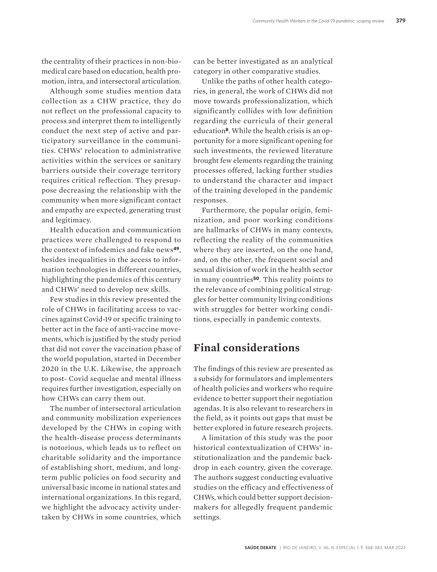the centrality of their practices in non-biomedical care based on education, health promotion, intra, and intersectoral articulation.

Although some studies mention data collection as a CHW practice, they do not reflect on the professional capacity to process and interpret them to intelligently conduct the next step of active and participatory surveillance in the communities. CHWs' relocation to administrative activities within the services or sanitary barriers outside their coverage territory requires critical reflection. They presuppose decreasing the relationship with the community when more significant contact and empathy are expected, generating trust and legitimacy.

Health education and communication practices were challenged to respond to the context of infodemics and fake news**49**, besides inequalities in the access to information technologies in different countries, highlighting the pandemics of this century and CHWs' need to develop new skills.

Few studies in this review presented the role of CHWs in facilitating access to vaccines against Covid-19 or specific training to better act in the face of anti-vaccine movements, which is justified by the study period that did not cover the vaccination phase of the world population, started in December 2020 in the U.K. Likewise, the approach to post- Covid sequelae and mental illness requires further investigation, especially on how CHWs can carry them out.

The number of intersectoral articulation and community mobilization experiences developed by the CHWs in coping with the health-disease process determinants is notorious, which leads us to reflect on charitable solidarity and the importance of establishing short, medium, and longterm public policies on food security and universal basic income in national states and international organizations. In this regard, we highlight the advocacy activity undertaken by CHWs in some countries, which can be better investigated as an analytical category in other comparative studies.

Unlike the paths of other health categories, in general, the work of CHWs did not move towards professionalization, which significantly collides with low definition regarding the curricula of their general education**8**. While the health crisis is an opportunity for a more significant opening for such investments, the reviewed literature brought few elements regarding the training processes offered, lacking further studies to understand the character and impact of the training developed in the pandemic responses.

Furthermore, the popular origin, feminization, and poor working conditions are hallmarks of CHWs in many contexts, reflecting the reality of the communities where they are inserted, on the one hand, and, on the other, the frequent social and sexual division of work in the health sector in many countries**50**. This reality points to the relevance of combining political struggles for better community living conditions with struggles for better working conditions, especially in pandemic contexts.

#### **Final considerations**

The findings of this review are presented as a subsidy for formulators and implementers of health policies and workers who require evidence to better support their negotiation agendas. It is also relevant to researchers in the field, as it points out gaps that must be better explored in future research projects.

A limitation of this study was the poor historical contextualization of CHWs' institutionalization and the pandemic backdrop in each country, given the coverage. The authors suggest conducting evaluative studies on the efficacy and effectiveness of CHWs, which could better support decisionmakers for allegedly frequent pandemic settings.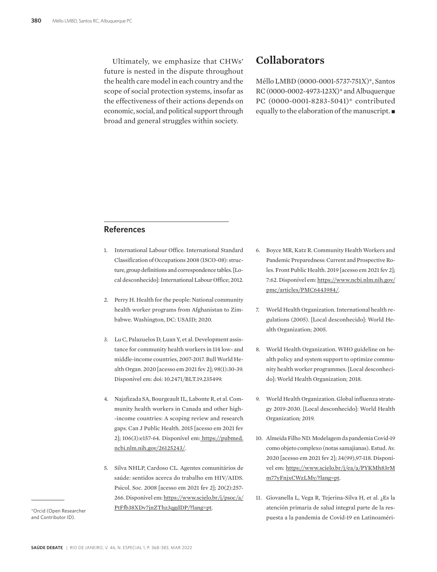Ultimately, we emphasize that CHWs' future is nested in the dispute throughout the health care model in each country and the scope of social protection systems, insofar as the effectiveness of their actions depends on economic, social, and political support through broad and general struggles within society.

#### **Collaborators**

Méllo LMBD (0000-0001-5737-751X)\*, Santos RC (0000-0002-4973-123X)\* and Albuquerque PC (0000-0001-8283-5041)\* contributed equally to the elaboration of the manuscript.  $\blacksquare$ 

#### **References**

- 1. International Labour Office. International Standard Classification of Occupations 2008 (ISCO-08): structure, group definitions and correspondence tables. [Local desconhecido]: International Labour Office; 2012.
- 2. Perry H. Health for the people: National community health worker programs from Afghanistan to Zimbabwe. Washington, DC: USAID; 2020.
- 3. Lu C, Palazuelos D, Luan Y, et al. Development assistance for community health workers in 114 low- and middle-income countries, 2007-2017. Bull World Health Organ. 2020 [acesso em 2021 fev 2]; 98(1):30-39. Disponível em: doi: 10.2471/BLT.19.235499.
- 4. Najafizada SA, Bourgeault IL, Labonte R, et al. Community health workers in Canada and other high- -income countries: A scoping review and research gaps. Can J Public Health. 2015 [acesso em 2021 fev 2]; 106(3):e157-64. Disponível em: https://pubmed. ncbi.nlm.nih.gov/26125243/.
- 5. Silva NHLP, Cardoso CL. Agentes comunitários de saúde: sentidos acerca do trabalho em HIV/AIDS. Psicol. Soc. 2008 [acesso em 2021 fev 2]; 20(2):257- 266. Disponível em: https://www.scielo.br/j/psoc/a/ PtFfb38XDv7jnZThz3qgdDP/?lang=pt.

\*Orcid (Open Researcher and Contributor ID).

- 6. Boyce MR, Katz R. Community Health Workers and Pandemic Preparedness: Current and Prospective Roles. Front Public Health. 2019 [acesso em 2021 fev 2]; 7:62. Disponível em: https://www.ncbi.nlm.nih.gov/ pmc/articles/PMC6443984/.
- 7. World Health Organization. International health regulations (2005). [Local desconhecido]: World Health Organization; 2005.
- 8. World Health Organization. WHO guideline on health policy and system support to optimize community health worker programmes. [Local desconhecido]: World Health Organization; 2018.
- 9. World Health Organization. Global influenza strategy 2019-2030. [Local desconhecido]: World Health Organization; 2019.
- 10. Almeida Filho ND. Modelagem da pandemia Covid-19 como objeto complexo (notas samajianas). Estud. Av. 2020 [acesso em 2021 fev 2]; 34(99),97-118. Disponível em: https://www.scielo.br/j/ea/a/PYKMh83rM m77yFnjxCWzLMy/?lang=pt.
- 11. Giovanella L, Vega R, Tejerina-Silva H, et al. ¿Es la atención primaria de salud integral parte de la respuesta a la pandemia de Covid-19 en Latinoaméri-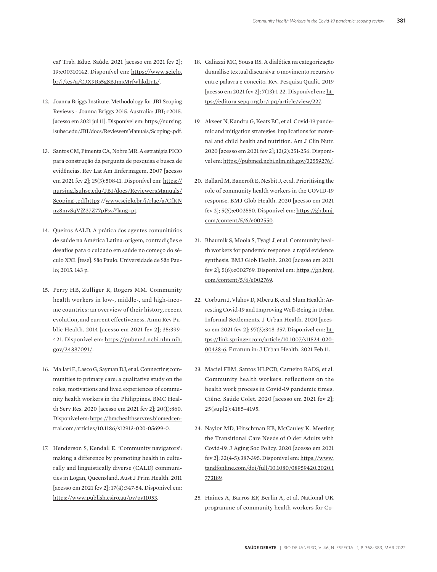ca? Trab. Educ. Saúde. 2021 [acesso em 2021 fev 2]; 19:e00310142. Disponível em: https://www.scielo. br/j/tes/a/CJX9Rs5gSBJmsMrfwhkdJrL/.

- 12. Joanna Briggs Institute. Methodology for JBI Scoping Reviews - Joanna Briggs 2015. Australia: JBI; c2015. [acesso em 2021 jul 11]. Disponível em: https://nursing. lsuhsc.edu/JBI/docs/ReviewersManuals/Scoping-.pdf.
- 13. Santos CM, Pimenta CA, Nobre MR. A estratégia PICO para construção da pergunta de pesquisa e busca de evidências. Rev Lat Am Enfermagem. 2007 [acesso em 2021 fev 2]; 15(3):508-11. Disponível em: https:// nursing.lsuhsc.edu/JBI/docs/ReviewersManuals/ Scoping-.pdfhttps://www.scielo.br/j/rlae/a/CfKN nz8mvSqVjZ37Z77pFsy/?lang=pt.
- 14. Queiros AALD. A prática dos agentes comunitários de saúde na América Latina: origem, contradições e desafios para o cuidado em saúde no começo do século XXI. [tese]. São Paulo: Universidade de São Paulo; 2015. 143 p.
- 15. Perry HB, Zulliger R, Rogers MM. Community health workers in low-, middle-, and high-income countries: an overview of their history, recent evolution, and current effectiveness. Annu Rev Public Health. 2014 [acesso em 2021 fev 2]; 35:399- 421. Disponível em: https://pubmed.ncbi.nlm.nih. gov/24387091/.
- 16. Mallari E, Lasco G, Sayman DJ, et al. Connecting communities to primary care: a qualitative study on the roles, motivations and lived experiences of community health workers in the Philippines. BMC Health Serv Res. 2020 [acesso em 2021 fev 2]; 20(1):860. Disponível em: https://bmchealthservres.biomedcentral.com/articles/10.1186/s12913-020-05699-0.
- 17. Henderson S, Kendall E. 'Community navigators': making a difference by promoting health in culturally and linguistically diverse (CALD) communities in Logan, Queensland. Aust J Prim Health. 2011 [acesso em 2021 fev 2]; 17(4):347-54. Disponível em: https://www.publish.csiro.au/py/py11053.
- 18. Galiazzi MC, Sousa RS. A dialética na categorização da análise textual discursiva: o movimento recursivo entre palavra e conceito. Rev. Pesquisa Qualit. 2019 [acesso em 2021 fev 2]; 7(13):1-22. Disponível em: https://editora.sepq.org.br/rpq/article/view/227.
- 19. Akseer N, Kandru G, Keats EC, et al. Covid-19 pandemic and mitigation strategies: implications for maternal and child health and nutrition. Am J Clin Nutr. 2020 [acesso em 2021 fev 2]; 12(2):251-256. Disponível em: https://pubmed.ncbi.nlm.nih.gov/32559276/.
- 20. Ballard M, Bancroft E, Nesbit J, et al. Prioritising the role of community health workers in the COVID-19 response. BMJ Glob Health. 2020 [acesso em 2021 fev 2]; 5(6):e002550. Disponível em: https://gh.bmj. com/content/5/6/e002550.
- 21. Bhaumik S, Moola S, Tyagi J, et al. Community health workers for pandemic response: a rapid evidence synthesis. BMJ Glob Health. 2020 [acesso em 2021 fev 2]; 5(6):e002769. Disponível em: https://gh.bmj. com/content/5/6/e002769.
- 22. Corburn J, Vlahov D, Mberu B, et al. Slum Health: Arresting Covid-19 and Improving Well-Being in Urban Informal Settlements. J Urban Health. 2020 [acesso em 2021 fev 2]; 97(3):348-357. Disponível em: https://link.springer.com/article/10.1007/s11524-020- 00438-6. Erratum in: J Urban Health. 2021 Feb 11.
- 23. Maciel FBM, Santos HLPCD, Carneiro RADS, et al. Community health workers: reflections on the health work process in Covid-19 pandemic times. Ciênc. Saúde Colet. 2020 [acesso em 2021 fev 2]; 25(supl2):4185-4195.
- 24. Naylor MD, Hirschman KB, McCauley K. Meeting the Transitional Care Needs of Older Adults with Covid-19. J Aging Soc Policy. 2020 [acesso em 2021 fev 2]; 32(4-5):387-395. Disponível em: https://www. tandfonline.com/doi/full/10.1080/08959420.2020.1 773189.
- 25. Haines A, Barros EF, Berlin A, et al. National UK programme of community health workers for Co-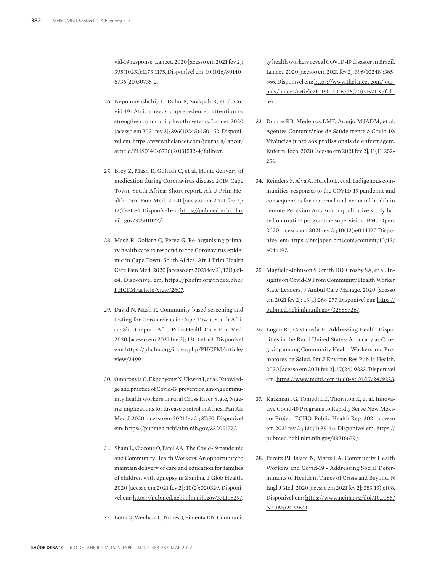vid-19 response. Lancet. 2020 [acesso em 2021 fev 2]; 395(10231):1173-1175. Disponível em: 10.1016/S0140- 6736(20)30735-2.

- 26. Nepomnyashchiy L, Dahn B, Saykpah R, et al. Covid-19: Africa needs unprecedented attention to strengthen community health systems. Lancet. 2020 [acesso em 2021 fev 2]; 396(10245):150-152. Disponível em: https://www.thelancet.com/journals/lancet/ article/PIIS0140-6736(20)31532-4/fulltext.
- 27. Brey Z, Mash R, Goliath C, et al. Home delivery of medication during Coronavirus disease 2019, Cape Town, South Africa: Short report. Afr J Prim Health Care Fam Med. 2020 [acesso em 2021 fev 2]; 12(1):e1-e4. Disponível em: https://pubmed.ncbi.nlm. nih.gov/32501022/.
- 28. Mash R, Goliath C, Perez G. Re-organising primary health care to respond to the Coronavirus epidemic in Cape Town, South Africa. Afr J Prim Health Care Fam Med. 2020 [acesso em 2021 fev 2]; 12(1):e1 e4. Disponível em: https://phcfm.org/index.php/ PHCFM/article/view/2607.
- 29. David N, Mash R. Community-based screening and testing for Coronavirus in Cape Town, South Africa: Short report. Afr J Prim Health Care Fam Med. 2020 [acesso em 2021 fev 2]; 12(1):e1-e3. Disponível em: https://phcfm.org/index.php/PHCFM/article/ view/2499.
- 30. Omoronyia O, Ekpenyong N, Ukweh I, et al. Knowledge and practice of Covid-19 prevention among community health workers in rural Cross River State, Nigeria: implications for disease control in Africa. Pan Afr Med J. 2020 [acesso em 2021 fev 2]; 37:50. Disponível em: https://pubmed.ncbi.nlm.nih.gov/33209177/.
- 31. Sham L, Ciccone O, Patel AA. The Covid-19 pandemic and Community Health Workers: An opportunity to maintain delivery of care and education for families of children with epilepsy in Zambia. J Glob Health. 2020 [acesso em 2021 fev 2]; 10(2):020329. Disponível em: https://pubmed.ncbi.nlm.nih.gov/33110529/.
- 32. Lotta G, Wenham C, Nunes J, Pimenta DN. Communi-

ty health workers reveal COVID-19 disaster in Brazil. Lancet. 2020 [acesso em 2021 fev 2]; 396(10248):365- 366. Disponível em: https://www.thelancet.com/journals/lancet/article/PIIS0140-6736(20)31521-X/fulltext.

- 33. Duarte RB, Medeiros LMF, Araújo MJADM, et al. Agentes Comunitários de Saúde frente à Covid-19: Vivências junto aos profissionais de enfermagem. Enferm. foco. 2020 [acesso em 2021 fev 2]; 11(1): 252- 256.
- 34. Reinders S, Alva A, Huicho L, et al. Indigenous communities' responses to the COVID-19 pandemic and consequences for maternal and neonatal health in remote Peruvian Amazon: a qualitative study based on routine programme supervision. BMJ Open. 2020 [acesso em 2021 fev 2]; 10(12):e044197. Disponível em: https://bmjopen.bmj.com/content/10/12/ e044197.
- 35. Mayfield-Johnson S, Smith DO, Crosby SA, et al. Insights on Covid-19 From Community Health Worker State Leaders. J Ambul Care Manage. 2020 [acesso em 2021 fev 2]; 43(4):268-277. Disponível em: https:// pubmed.ncbi.nlm.nih.gov/32858726/.
- 36. Logan RI, Castañeda H. Addressing Health Disparities in the Rural United States: Advocacy as Caregiving among Community Health Workers and Promotores de Salud. Int J Environ Res Public Health. 2020 [acesso em 2021 fev 2]; 17(24):9223. Disponível em: https://www.mdpi.com/1660-4601/17/24/9223.
- 37. Katzman JG, Tomedi LE, Thornton K, et al. Innovative Covid-19 Programs to Rapidly Serve New Mexico: Project ECHO. Public Health Rep. 2021 [acesso em 2021 fev 2]; 136(1):39-46. Disponível em: https:// pubmed.ncbi.nlm.nih.gov/33216679/.
- 38. Peretz PJ, Islam N, Matiz LA. Community Health Workers and Covid-19 - Addressing Social Determinants of Health in Times of Crisis and Beyond. N Engl J Med. 2020 [acesso em 2021 fev 2]; 383(19):e108. Disponível em: https://www.nejm.org/doi/10.1056/ NEJMp2022641.